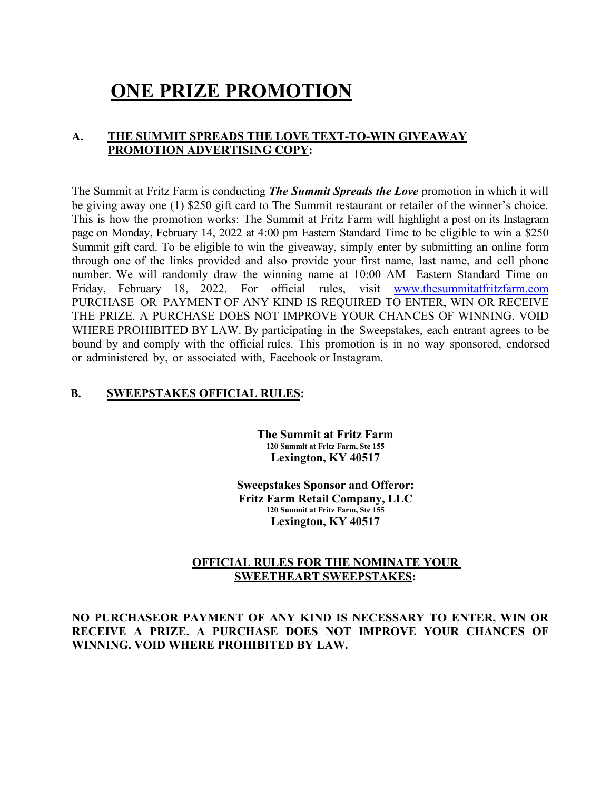# **ONE PRIZE PROMOTION**

## **A. THE SUMMIT SPREADS THE LOVE TEXT-TO-WIN GIVEAWAY PROMOTION ADVERTISING COPY:**

The Summit at Fritz Farm is conducting *The Summit Spreads the Love* promotion in which it will be giving away one (1) \$250 gift card to The Summit restaurant or retailer of the winner's choice. This is how the promotion works: The Summit at Fritz Farm will highlight a post on its Instagram page on Monday, February 14, 2022 at 4:00 pm Eastern Standard Time to be eligible to win a \$250 Summit gift card. To be eligible to win the giveaway, simply enter by submitting an online form through one of the links provided and also provide your first name, last name, and cell phone number. We will randomly draw the winning name at 10:00 AM Eastern Standard Time on Friday, February 18, 2022. For official rules, visit [www.thesummitatfritzfarm.com](http://www.thesummitatfritzfarm.com/) PURCHASE OR PAYMENT OF ANY KIND IS REQUIRED TO ENTER, WIN OR RECEIVE THE PRIZE. A PURCHASE DOES NOT IMPROVE YOUR CHANCES OF WINNING. VOID WHERE PROHIBITED BY LAW. By participating in the Sweepstakes, each entrant agrees to be bound by and comply with the official rules. This promotion is in no way sponsored, endorsed or administered by, or associated with, Facebook or Instagram.

## **B. SWEEPSTAKES OFFICIAL RULES:**

**The Summit at Fritz Farm 120 Summit at Fritz Farm, Ste 155 Lexington, KY 40517** 

**Sweepstakes Sponsor and Offeror: Fritz Farm Retail Company, LLC 120 Summit at Fritz Farm, Ste 155 Lexington, KY 40517** 

## **OFFICIAL RULES FOR THE NOMINATE YOUR SWEETHEART SWEEPSTAKES:**

**NO PURCHASEOR PAYMENT OF ANY KIND IS NECESSARY TO ENTER, WIN OR RECEIVE A PRIZE. A PURCHASE DOES NOT IMPROVE YOUR CHANCES OF WINNING. VOID WHERE PROHIBITED BY LAW.**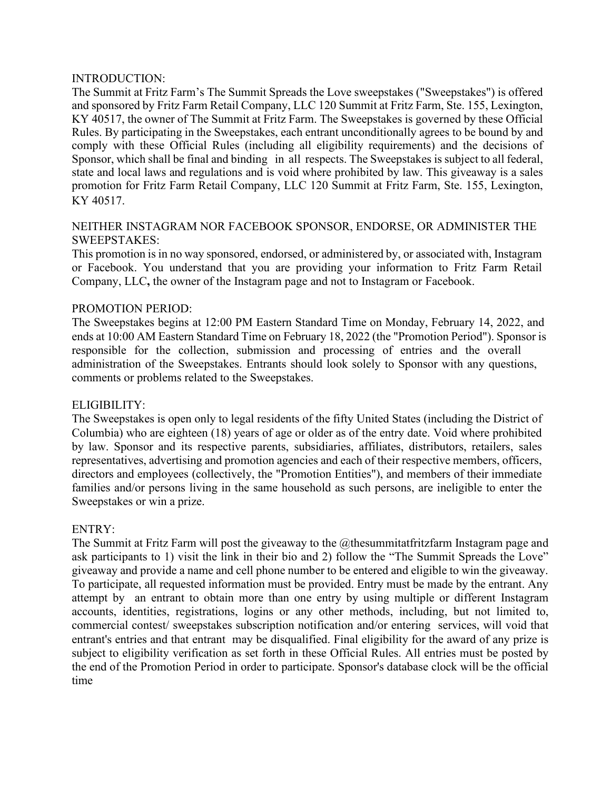#### INTRODUCTION:

The Summit at Fritz Farm's The Summit Spreads the Love sweepstakes ("Sweepstakes") is offered and sponsored by Fritz Farm Retail Company, LLC 120 Summit at Fritz Farm, Ste. 155, Lexington, KY 40517, the owner of The Summit at Fritz Farm. The Sweepstakes is governed by these Official Rules. By participating in the Sweepstakes, each entrant unconditionally agrees to be bound by and comply with these Official Rules (including all eligibility requirements) and the decisions of Sponsor, which shall be final and binding in all respects. The Sweepstakes is subject to all federal, state and local laws and regulations and is void where prohibited by law. This giveaway is a sales promotion for Fritz Farm Retail Company, LLC 120 Summit at Fritz Farm, Ste. 155, Lexington, KY 40517.

## NEITHER INSTAGRAM NOR FACEBOOK SPONSOR, ENDORSE, OR ADMINISTER THE SWEEPSTAKES:

This promotion is in no way sponsored, endorsed, or administered by, or associated with, Instagram or Facebook. You understand that you are providing your information to Fritz Farm Retail Company, LLC**,** the owner of the Instagram page and not to Instagram or Facebook.

## PROMOTION PERIOD:

The Sweepstakes begins at 12:00 PM Eastern Standard Time on Monday, February 14, 2022, and ends at 10:00 AM Eastern Standard Time on February 18, 2022 (the "Promotion Period"). Sponsor is responsible for the collection, submission and processing of entries and the overall administration of the Sweepstakes. Entrants should look solely to Sponsor with any questions, comments or problems related to the Sweepstakes.

## ELIGIBILITY:

The Sweepstakes is open only to legal residents of the fifty United States (including the District of Columbia) who are eighteen (18) years of age or older as of the entry date. Void where prohibited by law. Sponsor and its respective parents, subsidiaries, affiliates, distributors, retailers, sales representatives, advertising and promotion agencies and each of their respective members, officers, directors and employees (collectively, the "Promotion Entities"), and members of their immediate families and/or persons living in the same household as such persons, are ineligible to enter the Sweepstakes or win a prize.

## ENTRY:

The Summit at Fritz Farm will post the giveaway to the @thesummitatfritzfarm Instagram page and ask participants to 1) visit the link in their bio and 2) follow the "The Summit Spreads the Love" giveaway and provide a name and cell phone number to be entered and eligible to win the giveaway. To participate, all requested information must be provided. Entry must be made by the entrant. Any attempt by an entrant to obtain more than one entry by using multiple or different Instagram accounts, identities, registrations, logins or any other methods, including, but not limited to, commercial contest/ sweepstakes subscription notification and/or entering services, will void that entrant's entries and that entrant may be disqualified. Final eligibility for the award of any prize is subject to eligibility verification as set forth in these Official Rules. All entries must be posted by the end of the Promotion Period in order to participate. Sponsor's database clock will be the official time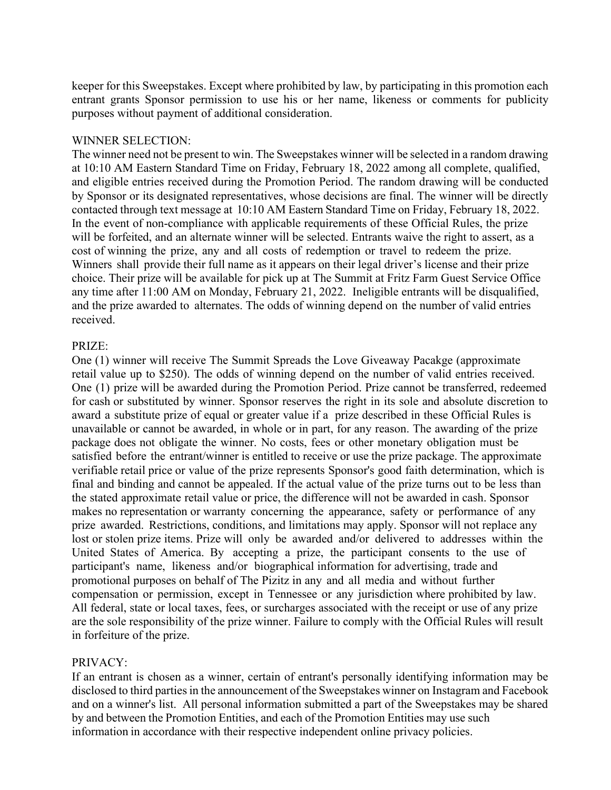keeper for this Sweepstakes. Except where prohibited by law, by participating in this promotion each entrant grants Sponsor permission to use his or her name, likeness or comments for publicity purposes without payment of additional consideration.

## WINNER SELECTION:

The winner need not be present to win. The Sweepstakes winner will be selected in a random drawing at 10:10 AM Eastern Standard Time on Friday, February 18, 2022 among all complete, qualified, and eligible entries received during the Promotion Period. The random drawing will be conducted by Sponsor or its designated representatives, whose decisions are final. The winner will be directly contacted through text message at 10:10 AM Eastern Standard Time on Friday, February 18, 2022. In the event of non-compliance with applicable requirements of these Official Rules, the prize will be forfeited, and an alternate winner will be selected. Entrants waive the right to assert, as a cost of winning the prize, any and all costs of redemption or travel to redeem the prize. Winners shall provide their full name as it appears on their legal driver's license and their prize choice. Their prize will be available for pick up at The Summit at Fritz Farm Guest Service Office any time after 11:00 AM on Monday, February 21, 2022. Ineligible entrants will be disqualified, and the prize awarded to alternates. The odds of winning depend on the number of valid entries received.

#### PRIZE:

One (1) winner will receive The Summit Spreads the Love Giveaway Pacakge (approximate retail value up to \$250). The odds of winning depend on the number of valid entries received. One (1) prize will be awarded during the Promotion Period. Prize cannot be transferred, redeemed for cash or substituted by winner. Sponsor reserves the right in its sole and absolute discretion to award a substitute prize of equal or greater value if a prize described in these Official Rules is unavailable or cannot be awarded, in whole or in part, for any reason. The awarding of the prize package does not obligate the winner. No costs, fees or other monetary obligation must be satisfied before the entrant/winner is entitled to receive or use the prize package. The approximate verifiable retail price or value of the prize represents Sponsor's good faith determination, which is final and binding and cannot be appealed. If the actual value of the prize turns out to be less than the stated approximate retail value or price, the difference will not be awarded in cash. Sponsor makes no representation or warranty concerning the appearance, safety or performance of any prize awarded. Restrictions, conditions, and limitations may apply. Sponsor will not replace any lost or stolen prize items. Prize will only be awarded and/or delivered to addresses within the United States of America. By accepting a prize, the participant consents to the use of participant's name, likeness and/or biographical information for advertising, trade and promotional purposes on behalf of The Pizitz in any and all media and without further compensation or permission, except in Tennessee or any jurisdiction where prohibited by law. All federal, state or local taxes, fees, or surcharges associated with the receipt or use of any prize are the sole responsibility of the prize winner. Failure to comply with the Official Rules will result in forfeiture of the prize.

#### PRIVACY:

If an entrant is chosen as a winner, certain of entrant's personally identifying information may be disclosed to third parties in the announcement of the Sweepstakes winner on Instagram and Facebook and on a winner's list. All personal information submitted a part of the Sweepstakes may be shared by and between the Promotion Entities, and each of the Promotion Entities may use such information in accordance with their respective independent online privacy policies.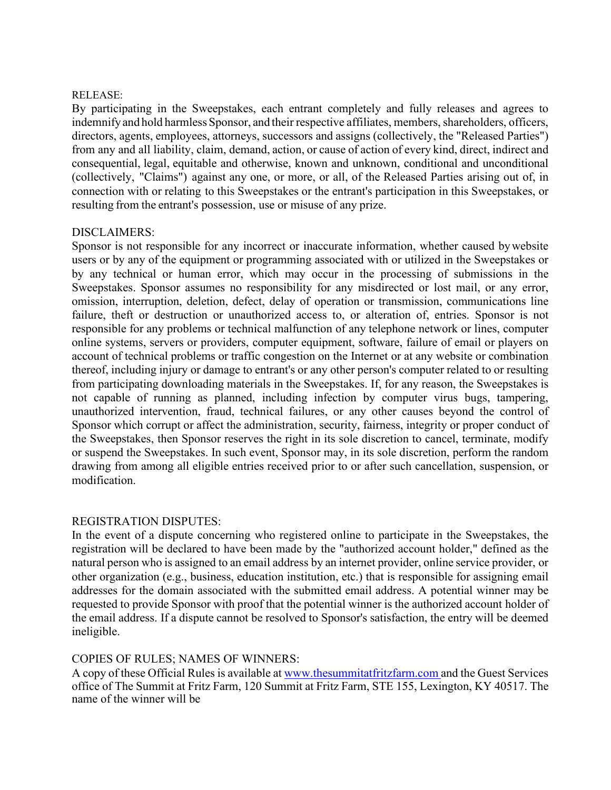#### RELEASE:

By participating in the Sweepstakes, each entrant completely and fully releases and agrees to indemnify and hold harmless Sponsor, and their respective affiliates, members, shareholders, officers, directors, agents, employees, attorneys, successors and assigns (collectively, the "Released Parties") from any and all liability, claim, demand, action, or cause of action of every kind, direct, indirect and consequential, legal, equitable and otherwise, known and unknown, conditional and unconditional (collectively, "Claims") against any one, or more, or all, of the Released Parties arising out of, in connection with or relating to this Sweepstakes or the entrant's participation in this Sweepstakes, or resulting from the entrant's possession, use or misuse of any prize.

#### DISCLAIMERS:

Sponsor is not responsible for any incorrect or inaccurate information, whether caused bywebsite users or by any of the equipment or programming associated with or utilized in the Sweepstakes or by any technical or human error, which may occur in the processing of submissions in the Sweepstakes. Sponsor assumes no responsibility for any misdirected or lost mail, or any error, omission, interruption, deletion, defect, delay of operation or transmission, communications line failure, theft or destruction or unauthorized access to, or alteration of, entries. Sponsor is not responsible for any problems or technical malfunction of any telephone network or lines, computer online systems, servers or providers, computer equipment, software, failure of email or players on account of technical problems or traffic congestion on the Internet or at any website or combination thereof, including injury or damage to entrant's or any other person's computer related to or resulting from participating downloading materials in the Sweepstakes. If, for any reason, the Sweepstakes is not capable of running as planned, including infection by computer virus bugs, tampering, unauthorized intervention, fraud, technical failures, or any other causes beyond the control of Sponsor which corrupt or affect the administration, security, fairness, integrity or proper conduct of the Sweepstakes, then Sponsor reserves the right in its sole discretion to cancel, terminate, modify or suspend the Sweepstakes. In such event, Sponsor may, in its sole discretion, perform the random drawing from among all eligible entries received prior to or after such cancellation, suspension, or modification.

## REGISTRATION DISPUTES:

In the event of a dispute concerning who registered online to participate in the Sweepstakes, the registration will be declared to have been made by the "authorized account holder," defined as the natural person who is assigned to an email address by an internet provider, online service provider, or other organization (e.g., business, education institution, etc.) that is responsible for assigning email addresses for the domain associated with the submitted email address. A potential winner may be requested to provide Sponsor with proof that the potential winner is the authorized account holder of the email address. If a dispute cannot be resolved to Sponsor's satisfaction, the entry will be deemed ineligible.

## COPIES OF RULES; NAMES OF WINNERS:

A copy of these Official Rules is available at [www.thesummitatfritzfarm.com a](http://www.thesummitatfritzfarm.com/)nd the Guest Services office of The Summit at Fritz Farm, 120 Summit at Fritz Farm, STE 155, Lexington, KY 40517. The name of the winner will be